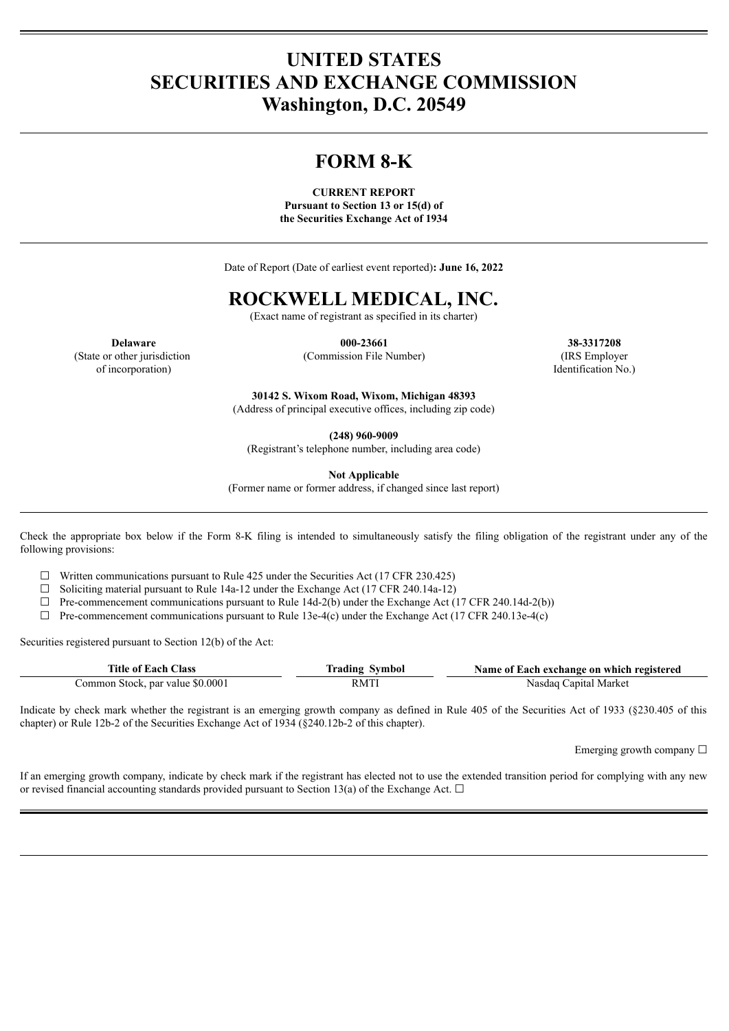# **UNITED STATES SECURITIES AND EXCHANGE COMMISSION Washington, D.C. 20549**

# **FORM 8-K**

**CURRENT REPORT**

**Pursuant to Section 13 or 15(d) of the Securities Exchange Act of 1934**

Date of Report (Date of earliest event reported)**: June 16, 2022**

# **ROCKWELL MEDICAL, INC.**

(Exact name of registrant as specified in its charter)

(State or other jurisdiction of incorporation)

**Delaware 000-23661 38-3317208** (Commission File Number) (IRS Employer

Identification No.)

**30142 S. Wixom Road, Wixom, Michigan 48393**

(Address of principal executive offices, including zip code)

**(248) 960-9009**

(Registrant's telephone number, including area code)

**Not Applicable**

(Former name or former address, if changed since last report)

Check the appropriate box below if the Form 8-K filing is intended to simultaneously satisfy the filing obligation of the registrant under any of the following provisions:

 $\Box$  Written communications pursuant to Rule 425 under the Securities Act (17 CFR 230.425)

☐ Soliciting material pursuant to Rule 14a-12 under the Exchange Act (17 CFR 240.14a-12)

 $\Box$  Pre-commencement communications pursuant to Rule 14d-2(b) under the Exchange Act (17 CFR 240.14d-2(b))

 $\Box$  Pre-commencement communications pursuant to Rule 13e-4(c) under the Exchange Act (17 CFR 240.13e-4(c)

Securities registered pursuant to Section 12(b) of the Act:

| <b>Title of Each Class</b>       | <b>Trading Symbol</b> | Name of Each exchange on which registered |
|----------------------------------|-----------------------|-------------------------------------------|
| Common Stock, par value \$0.0001 | <b>RMTI</b>           | Nasdaq Capital Market                     |

Indicate by check mark whether the registrant is an emerging growth company as defined in Rule 405 of the Securities Act of 1933 (§230.405 of this chapter) or Rule 12b-2 of the Securities Exchange Act of 1934 (§240.12b-2 of this chapter).

Emerging growth company ☐

If an emerging growth company, indicate by check mark if the registrant has elected not to use the extended transition period for complying with any new or revised financial accounting standards provided pursuant to Section 13(a) of the Exchange Act.  $\Box$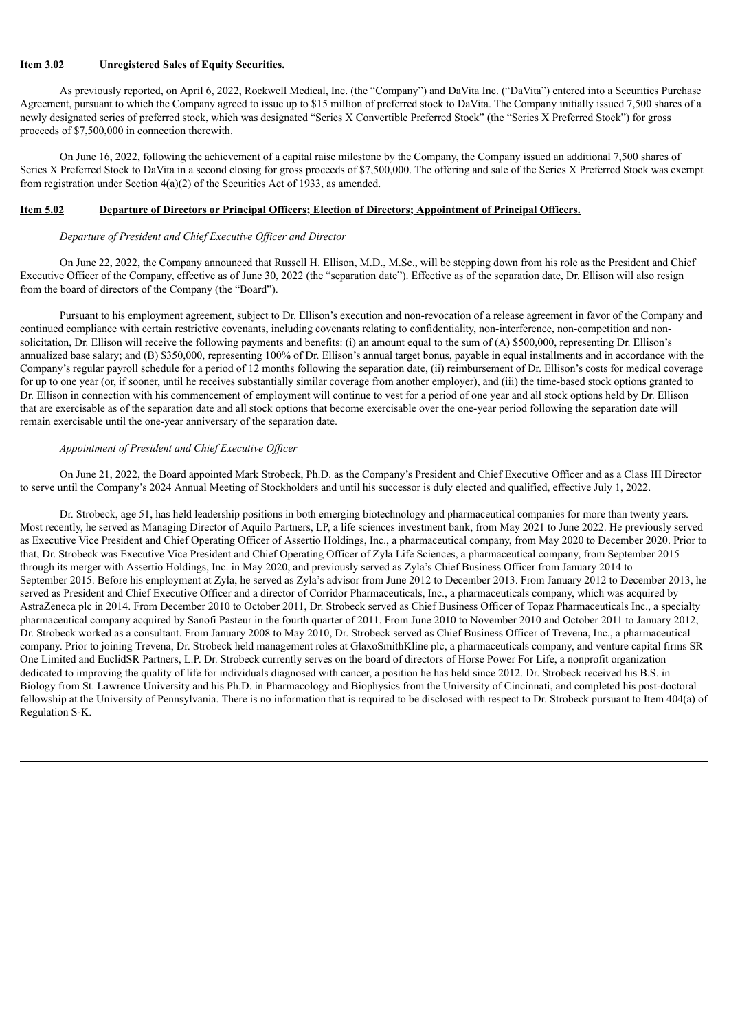## **Item 3.02 Unregistered Sales of Equity Securities.**

As previously reported, on April 6, 2022, Rockwell Medical, Inc. (the "Company") and DaVita Inc. ("DaVita") entered into a Securities Purchase Agreement, pursuant to which the Company agreed to issue up to \$15 million of preferred stock to DaVita. The Company initially issued 7,500 shares of a newly designated series of preferred stock, which was designated "Series X Convertible Preferred Stock" (the "Series X Preferred Stock") for gross proceeds of \$7,500,000 in connection therewith.

On June 16, 2022, following the achievement of a capital raise milestone by the Company, the Company issued an additional 7,500 shares of Series X Preferred Stock to DaVita in a second closing for gross proceeds of \$7,500,000. The offering and sale of the Series X Preferred Stock was exempt from registration under Section 4(a)(2) of the Securities Act of 1933, as amended.

### **Item 5.02 Departure of Directors or Principal Officers; Election of Directors; Appointment of Principal Officers.**

#### *Departure of President and Chief Executive Of icer and Director*

On June 22, 2022, the Company announced that Russell H. Ellison, M.D., M.Sc., will be stepping down from his role as the President and Chief Executive Officer of the Company, effective as of June 30, 2022 (the "separation date"). Effective as of the separation date, Dr. Ellison will also resign from the board of directors of the Company (the "Board").

Pursuant to his employment agreement, subject to Dr. Ellison's execution and non-revocation of a release agreement in favor of the Company and continued compliance with certain restrictive covenants, including covenants relating to confidentiality, non-interference, non-competition and nonsolicitation, Dr. Ellison will receive the following payments and benefits: (i) an amount equal to the sum of (A) \$500,000, representing Dr. Ellison's annualized base salary; and (B) \$350,000, representing 100% of Dr. Ellison's annual target bonus, payable in equal installments and in accordance with the Company's regular payroll schedule for a period of 12 months following the separation date, (ii) reimbursement of Dr. Ellison's costs for medical coverage for up to one year (or, if sooner, until he receives substantially similar coverage from another employer), and (iii) the time-based stock options granted to Dr. Ellison in connection with his commencement of employment will continue to vest for a period of one year and all stock options held by Dr. Ellison that are exercisable as of the separation date and all stock options that become exercisable over the one-year period following the separation date will remain exercisable until the one-year anniversary of the separation date.

## *Appointment of President and Chief Executive Of icer*

On June 21, 2022, the Board appointed Mark Strobeck, Ph.D. as the Company's President and Chief Executive Officer and as a Class III Director to serve until the Company's 2024 Annual Meeting of Stockholders and until his successor is duly elected and qualified, effective July 1, 2022.

Dr. Strobeck, age 51, has held leadership positions in both emerging biotechnology and pharmaceutical companies for more than twenty years. Most recently, he served as Managing Director of Aquilo Partners, LP, a life sciences investment bank, from May 2021 to June 2022. He previously served as Executive Vice President and Chief Operating Officer of Assertio Holdings, Inc., a pharmaceutical company, from May 2020 to December 2020. Prior to that, Dr. Strobeck was Executive Vice President and Chief Operating Officer of Zyla Life Sciences, a pharmaceutical company, from September 2015 through its merger with Assertio Holdings, Inc. in May 2020, and previously served as Zyla's Chief Business Officer from January 2014 to September 2015. Before his employment at Zyla, he served as Zyla's advisor from June 2012 to December 2013. From January 2012 to December 2013, he served as President and Chief Executive Officer and a director of Corridor Pharmaceuticals, Inc., a pharmaceuticals company, which was acquired by AstraZeneca plc in 2014. From December 2010 to October 2011, Dr. Strobeck served as Chief Business Officer of Topaz Pharmaceuticals Inc., a specialty pharmaceutical company acquired by Sanofi Pasteur in the fourth quarter of 2011. From June 2010 to November 2010 and October 2011 to January 2012, Dr. Strobeck worked as a consultant. From January 2008 to May 2010, Dr. Strobeck served as Chief Business Officer of Trevena, Inc., a pharmaceutical company. Prior to joining Trevena, Dr. Strobeck held management roles at GlaxoSmithKline plc, a pharmaceuticals company, and venture capital firms SR One Limited and EuclidSR Partners, L.P. Dr. Strobeck currently serves on the board of directors of Horse Power For Life, a nonprofit organization dedicated to improving the quality of life for individuals diagnosed with cancer, a position he has held since 2012. Dr. Strobeck received his B.S. in Biology from St. Lawrence University and his Ph.D. in Pharmacology and Biophysics from the University of Cincinnati, and completed his post-doctoral fellowship at the University of Pennsylvania. There is no information that is required to be disclosed with respect to Dr. Strobeck pursuant to Item 404(a) of Regulation S-K.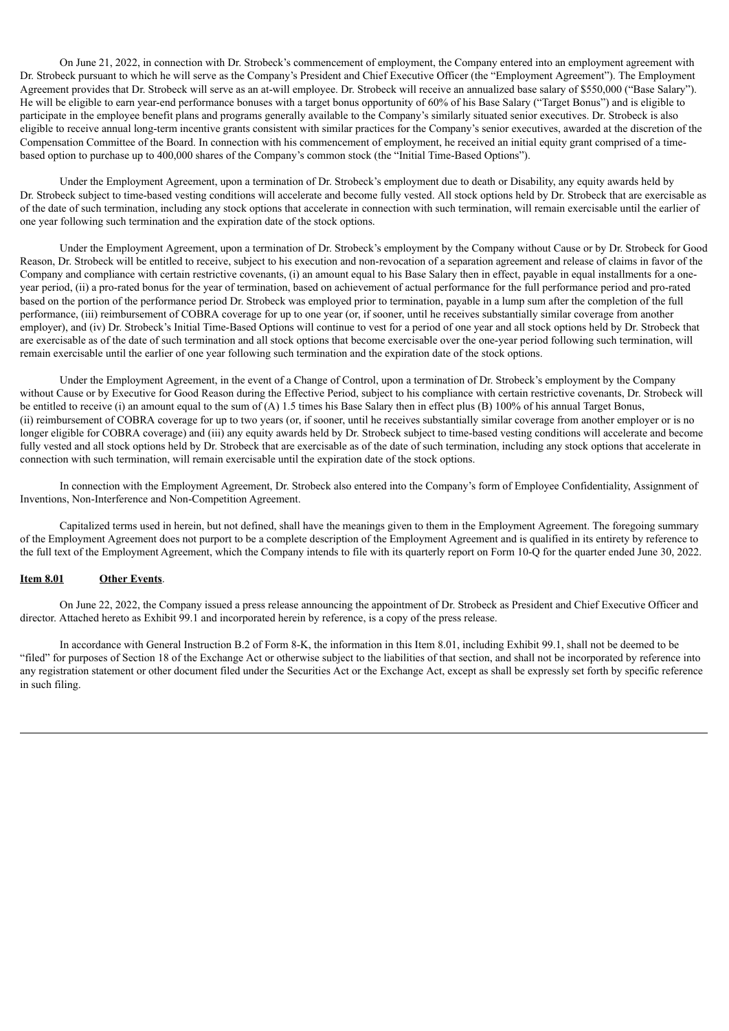On June 21, 2022, in connection with Dr. Strobeck's commencement of employment, the Company entered into an employment agreement with Dr. Strobeck pursuant to which he will serve as the Company's President and Chief Executive Officer (the "Employment Agreement"). The Employment Agreement provides that Dr. Strobeck will serve as an at-will employee. Dr. Strobeck will receive an annualized base salary of \$550,000 ("Base Salary"). He will be eligible to earn year-end performance bonuses with a target bonus opportunity of 60% of his Base Salary ("Target Bonus") and is eligible to participate in the employee benefit plans and programs generally available to the Company's similarly situated senior executives. Dr. Strobeck is also eligible to receive annual long-term incentive grants consistent with similar practices for the Company's senior executives, awarded at the discretion of the Compensation Committee of the Board. In connection with his commencement of employment, he received an initial equity grant comprised of a timebased option to purchase up to 400,000 shares of the Company's common stock (the "Initial Time-Based Options").

Under the Employment Agreement, upon a termination of Dr. Strobeck's employment due to death or Disability, any equity awards held by Dr. Strobeck subject to time-based vesting conditions will accelerate and become fully vested. All stock options held by Dr. Strobeck that are exercisable as of the date of such termination, including any stock options that accelerate in connection with such termination, will remain exercisable until the earlier of one year following such termination and the expiration date of the stock options.

Under the Employment Agreement, upon a termination of Dr. Strobeck's employment by the Company without Cause or by Dr. Strobeck for Good Reason, Dr. Strobeck will be entitled to receive, subject to his execution and non-revocation of a separation agreement and release of claims in favor of the Company and compliance with certain restrictive covenants, (i) an amount equal to his Base Salary then in effect, payable in equal installments for a oneyear period, (ii) a pro-rated bonus for the year of termination, based on achievement of actual performance for the full performance period and pro-rated based on the portion of the performance period Dr. Strobeck was employed prior to termination, payable in a lump sum after the completion of the full performance, (iii) reimbursement of COBRA coverage for up to one year (or, if sooner, until he receives substantially similar coverage from another employer), and (iv) Dr. Strobeck's Initial Time-Based Options will continue to vest for a period of one year and all stock options held by Dr. Strobeck that are exercisable as of the date of such termination and all stock options that become exercisable over the one-year period following such termination, will remain exercisable until the earlier of one year following such termination and the expiration date of the stock options.

Under the Employment Agreement, in the event of a Change of Control, upon a termination of Dr. Strobeck's employment by the Company without Cause or by Executive for Good Reason during the Effective Period, subject to his compliance with certain restrictive covenants, Dr. Strobeck will be entitled to receive (i) an amount equal to the sum of (A) 1.5 times his Base Salary then in effect plus (B) 100% of his annual Target Bonus, (ii) reimbursement of COBRA coverage for up to two years (or, if sooner, until he receives substantially similar coverage from another employer or is no longer eligible for COBRA coverage) and (iii) any equity awards held by Dr. Strobeck subject to time-based vesting conditions will accelerate and become fully vested and all stock options held by Dr. Strobeck that are exercisable as of the date of such termination, including any stock options that accelerate in connection with such termination, will remain exercisable until the expiration date of the stock options.

In connection with the Employment Agreement, Dr. Strobeck also entered into the Company's form of Employee Confidentiality, Assignment of Inventions, Non-Interference and Non-Competition Agreement.

Capitalized terms used in herein, but not defined, shall have the meanings given to them in the Employment Agreement. The foregoing summary of the Employment Agreement does not purport to be a complete description of the Employment Agreement and is qualified in its entirety by reference to the full text of the Employment Agreement, which the Company intends to file with its quarterly report on Form 10-Q for the quarter ended June 30, 2022.

### **Item 8.01 Other Events**.

On June 22, 2022, the Company issued a press release announcing the appointment of Dr. Strobeck as President and Chief Executive Officer and director. Attached hereto as Exhibit 99.1 and incorporated herein by reference, is a copy of the press release.

In accordance with General Instruction B.2 of Form 8-K, the information in this Item 8.01, including Exhibit 99.1, shall not be deemed to be "filed" for purposes of Section 18 of the Exchange Act or otherwise subject to the liabilities of that section, and shall not be incorporated by reference into any registration statement or other document filed under the Securities Act or the Exchange Act, except as shall be expressly set forth by specific reference in such filing.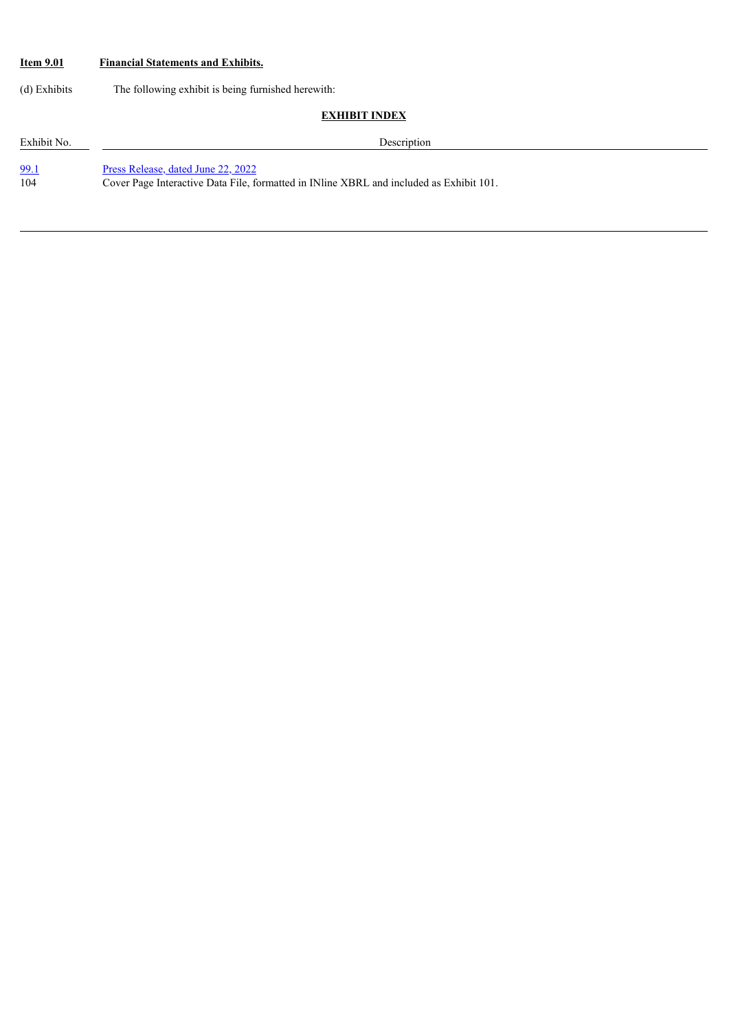# **Item 9.01 Financial Statements and Exhibits.**

(d) Exhibits The following exhibit is being furnished herewith:

| <b>EXHIBIT INDEX</b> |                                                                                                                               |  |
|----------------------|-------------------------------------------------------------------------------------------------------------------------------|--|
| Exhibit No.          | Description                                                                                                                   |  |
| <u>99.1</u><br>104   | Press Release, dated June 22, 2022<br>Cover Page Interactive Data File, formatted in INIine XBRL and included as Exhibit 101. |  |
|                      |                                                                                                                               |  |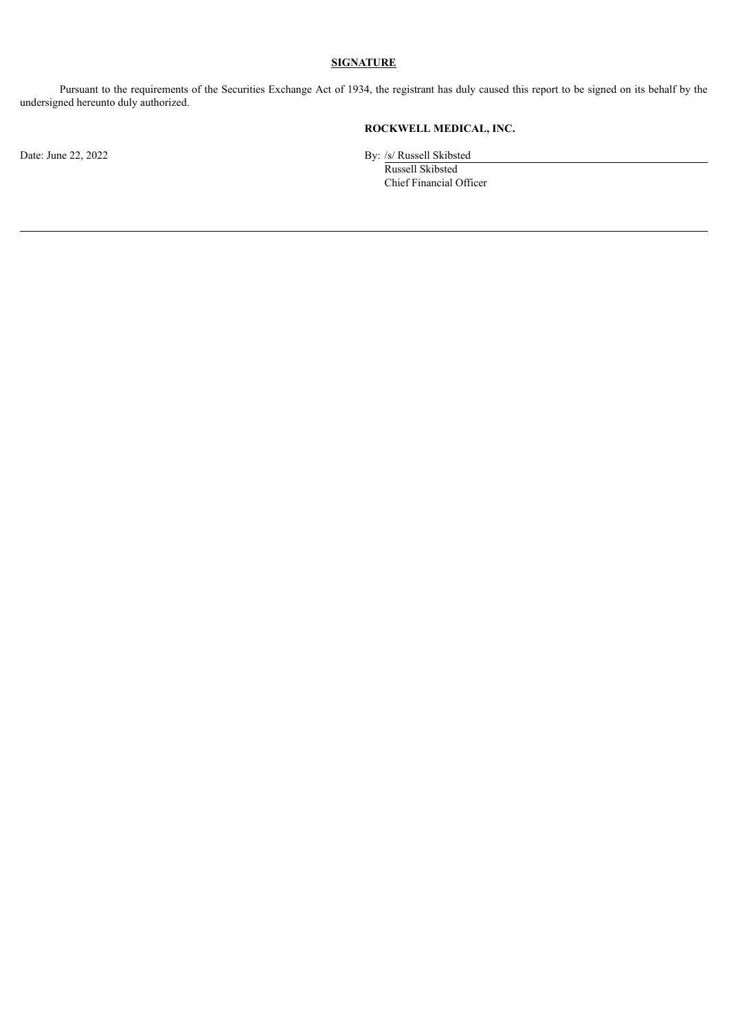## **SIGNATURE**

Pursuant to the requirements of the Securities Exchange Act of 1934, the registrant has duly caused this report to be signed on its behalf by the undersigned hereunto duly authorized.

# **ROCKWELL MEDICAL, INC.**

Date: June 22, 2022 By: /s/ Russell Skibsted

Russell Skibsted Chief Financial Officer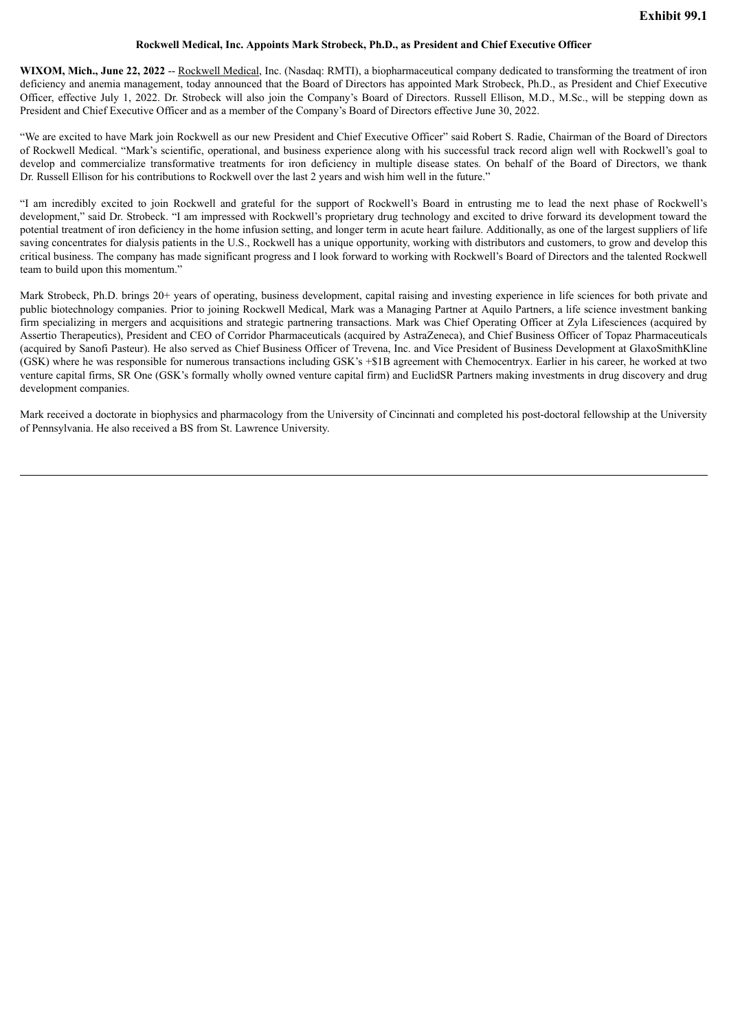#### **Rockwell Medical, Inc. Appoints Mark Strobeck, Ph.D., as President and Chief Executive Officer**

<span id="page-5-0"></span>**WIXOM, Mich., June 22, 2022** -- Rockwell Medical, Inc. (Nasdaq: RMTI), a biopharmaceutical company dedicated to transforming the treatment of iron deficiency and anemia management, today announced that the Board of Directors has appointed Mark Strobeck, Ph.D., as President and Chief Executive Officer, effective July 1, 2022. Dr. Strobeck will also join the Company's Board of Directors. Russell Ellison, M.D., M.Sc., will be stepping down as President and Chief Executive Officer and as a member of the Company's Board of Directors effective June 30, 2022.

"We are excited to have Mark join Rockwell as our new President and Chief Executive Officer" said Robert S. Radie, Chairman of the Board of Directors of Rockwell Medical. "Mark's scientific, operational, and business experience along with his successful track record align well with Rockwell's goal to develop and commercialize transformative treatments for iron deficiency in multiple disease states. On behalf of the Board of Directors, we thank Dr. Russell Ellison for his contributions to Rockwell over the last 2 years and wish him well in the future."

"I am incredibly excited to join Rockwell and grateful for the support of Rockwell's Board in entrusting me to lead the next phase of Rockwell's development," said Dr. Strobeck. "I am impressed with Rockwell's proprietary drug technology and excited to drive forward its development toward the potential treatment of iron deficiency in the home infusion setting, and longer term in acute heart failure. Additionally, as one of the largest suppliers of life saving concentrates for dialysis patients in the U.S., Rockwell has a unique opportunity, working with distributors and customers, to grow and develop this critical business. The company has made significant progress and I look forward to working with Rockwell's Board of Directors and the talented Rockwell team to build upon this momentum."

Mark Strobeck, Ph.D. brings 20+ years of operating, business development, capital raising and investing experience in life sciences for both private and public biotechnology companies. Prior to joining Rockwell Medical, Mark was a Managing Partner at Aquilo Partners, a life science investment banking firm specializing in mergers and acquisitions and strategic partnering transactions. Mark was Chief Operating Officer at Zyla Lifesciences (acquired by Assertio Therapeutics), President and CEO of Corridor Pharmaceuticals (acquired by AstraZeneca), and Chief Business Officer of Topaz Pharmaceuticals (acquired by Sanofi Pasteur). He also served as Chief Business Officer of Trevena, Inc. and Vice President of Business Development at GlaxoSmithKline (GSK) where he was responsible for numerous transactions including GSK's +\$1B agreement with Chemocentryx. Earlier in his career, he worked at two venture capital firms, SR One (GSK's formally wholly owned venture capital firm) and EuclidSR Partners making investments in drug discovery and drug development companies.

Mark received a doctorate in biophysics and pharmacology from the University of Cincinnati and completed his post-doctoral fellowship at the University of Pennsylvania. He also received a BS from St. Lawrence University.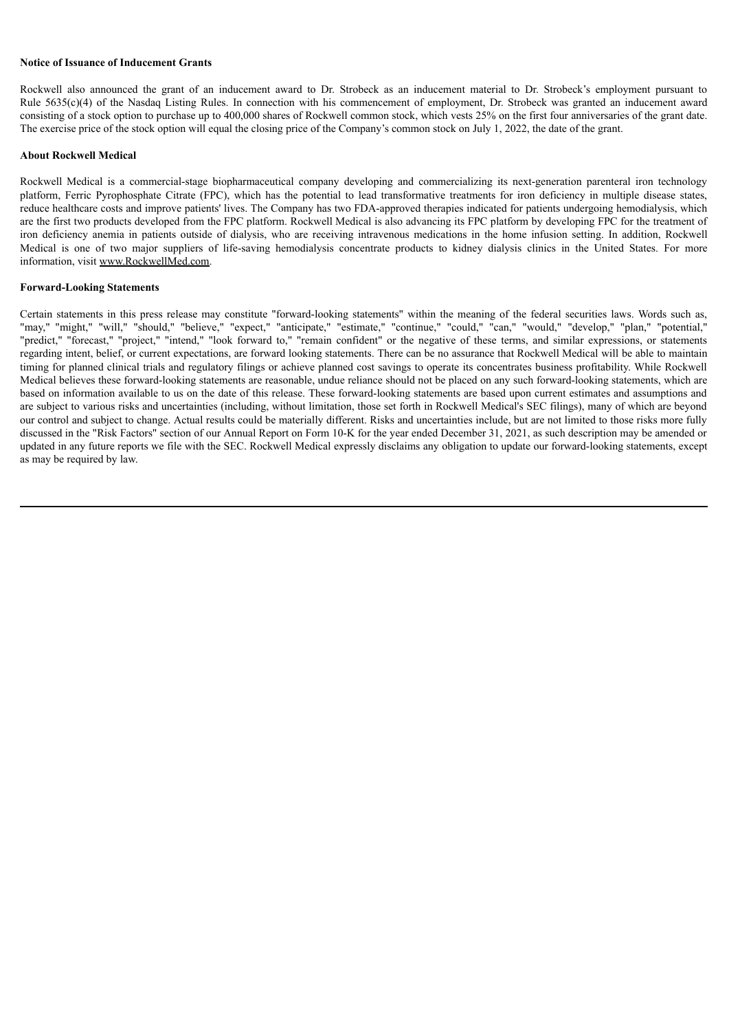#### **Notice of Issuance of Inducement Grants**

Rockwell also announced the grant of an inducement award to Dr. Strobeck as an inducement material to Dr. Strobeck's employment pursuant to Rule 5635(c)(4) of the Nasdaq Listing Rules. In connection with his commencement of employment, Dr. Strobeck was granted an inducement award consisting of a stock option to purchase up to 400,000 shares of Rockwell common stock, which vests 25% on the first four anniversaries of the grant date. The exercise price of the stock option will equal the closing price of the Company's common stock on July 1, 2022, the date of the grant.

#### **About Rockwell Medical**

Rockwell Medical is a commercial-stage biopharmaceutical company developing and commercializing its next-generation parenteral iron technology platform, Ferric Pyrophosphate Citrate (FPC), which has the potential to lead transformative treatments for iron deficiency in multiple disease states, reduce healthcare costs and improve patients' lives. The Company has two FDA-approved therapies indicated for patients undergoing hemodialysis, which are the first two products developed from the FPC platform. Rockwell Medical is also advancing its FPC platform by developing FPC for the treatment of iron deficiency anemia in patients outside of dialysis, who are receiving intravenous medications in the home infusion setting. In addition, Rockwell Medical is one of two major suppliers of life-saving hemodialysis concentrate products to kidney dialysis clinics in the United States. For more information, visit www.RockwellMed.com.

#### **Forward-Looking Statements**

Certain statements in this press release may constitute "forward-looking statements" within the meaning of the federal securities laws. Words such as, "may," "might," "will," "should," "believe," "expect," "anticipate," "estimate," "continue," "could," "can," "would," "develop," "plan," "potential," "predict," "forecast," "project," "intend," "look forward to," "remain confident" or the negative of these terms, and similar expressions, or statements regarding intent, belief, or current expectations, are forward looking statements. There can be no assurance that Rockwell Medical will be able to maintain timing for planned clinical trials and regulatory filings or achieve planned cost savings to operate its concentrates business profitability. While Rockwell Medical believes these forward-looking statements are reasonable, undue reliance should not be placed on any such forward-looking statements, which are based on information available to us on the date of this release. These forward-looking statements are based upon current estimates and assumptions and are subject to various risks and uncertainties (including, without limitation, those set forth in Rockwell Medical's SEC filings), many of which are beyond our control and subject to change. Actual results could be materially different. Risks and uncertainties include, but are not limited to those risks more fully discussed in the "Risk Factors" section of our Annual Report on Form 10-K for the year ended December 31, 2021, as such description may be amended or updated in any future reports we file with the SEC. Rockwell Medical expressly disclaims any obligation to update our forward-looking statements, except as may be required by law.